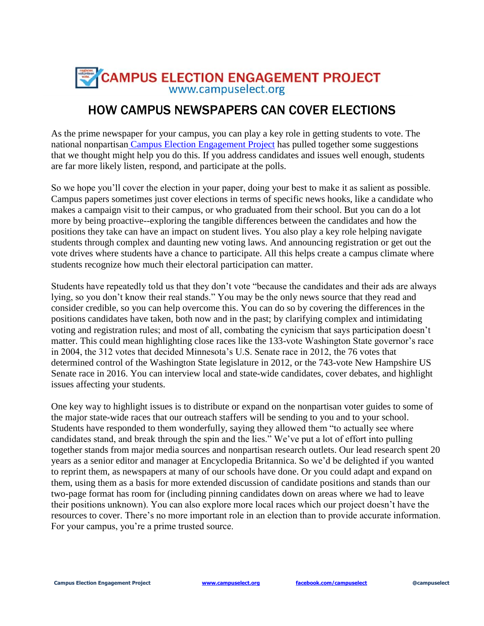

## HOW CAMPUS NEWSPAPERS CAN COVER ELECTIONS

As the prime newspaper for your campus, you can play a key role in getting students to vote. The national nonpartisan Campus Election [Engagement](http://www.campuselect.org/) Project has pulled together some suggestions that we thought might help you do this. If you address candidates and issues well enough, students are far more likely listen, respond, and participate at the polls.

So we hope you'll cover the election in your paper, doing your best to make it as salient as possible. Campus papers sometimes just cover elections in terms of specific news hooks, like a candidate who makes a campaign visit to their campus, or who graduated from their school. But you can do a lot more by being proactive--exploring the tangible differences between the candidates and how the positions they take can have an impact on student lives. You also play a key role helping navigate students through complex and daunting new voting laws. And announcing registration or get out the vote drives where students have a chance to participate. All this helps create a campus climate where students recognize how much their electoral participation can matter.

Students have repeatedly told us that they don't vote "because the candidates and their ads are always lying, so you don't know their real stands." You may be the only news source that they read and consider credible, so you can help overcome this. You can do so by covering the differences in the positions candidates have taken, both now and in the past; by clarifying complex and intimidating voting and registration rules; and most of all, combating the cynicism that says participation doesn't matter. This could mean highlighting close races like the 133-vote Washington State governor's race in 2004, the 312 votes that decided Minnesota's U.S. Senate race in 2012, the 76 votes that determined control of the Washington State legislature in 2012, or the 743-vote New Hampshire US Senate race in 2016. You can interview local and state-wide candidates, cover debates, and highlight issues affecting your students.

One key way to highlight issues is to distribute or expand on the nonpartisan voter guides to some of the major state-wide races that our outreach staffers will be sending to you and to your school. Students have responded to them wonderfully, saying they allowed them "to actually see where candidates stand, and break through the spin and the lies." We've put a lot of effort into pulling together stands from major media sources and nonpartisan research outlets. Our lead research spent 20 years as a senior editor and manager at Encyclopedia Britannica. So we'd be delighted if you wanted to reprint them, as newspapers at many of our schools have done. Or you could adapt and expand on them, using them as a basis for more extended discussion of candidate positions and stands than our two-page format has room for (including pinning candidates down on areas where we had to leave their positions unknown). You can also explore more local races which our project doesn't have the resources to cover. There's no more important role in an election than to provide accurate information. For your campus, you're a prime trusted source.